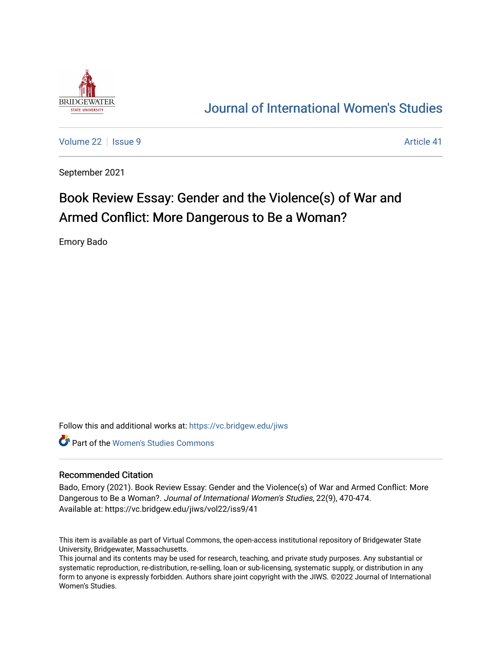

## [Journal of International Women's Studies](https://vc.bridgew.edu/jiws)

[Volume 22](https://vc.bridgew.edu/jiws/vol22) | [Issue 9](https://vc.bridgew.edu/jiws/vol22/iss9) Article 41

September 2021

# Book Review Essay: Gender and the Violence(s) of War and Armed Conflict: More Dangerous to Be a Woman?

Emory Bado

Follow this and additional works at: [https://vc.bridgew.edu/jiws](https://vc.bridgew.edu/jiws?utm_source=vc.bridgew.edu%2Fjiws%2Fvol22%2Fiss9%2F41&utm_medium=PDF&utm_campaign=PDFCoverPages)

**C** Part of the Women's Studies Commons

#### Recommended Citation

Bado, Emory (2021). Book Review Essay: Gender and the Violence(s) of War and Armed Conflict: More Dangerous to Be a Woman?. Journal of International Women's Studies, 22(9), 470-474. Available at: https://vc.bridgew.edu/jiws/vol22/iss9/41

This item is available as part of Virtual Commons, the open-access institutional repository of Bridgewater State University, Bridgewater, Massachusetts.

This journal and its contents may be used for research, teaching, and private study purposes. Any substantial or systematic reproduction, re-distribution, re-selling, loan or sub-licensing, systematic supply, or distribution in any form to anyone is expressly forbidden. Authors share joint copyright with the JIWS. ©2022 Journal of International Women's Studies.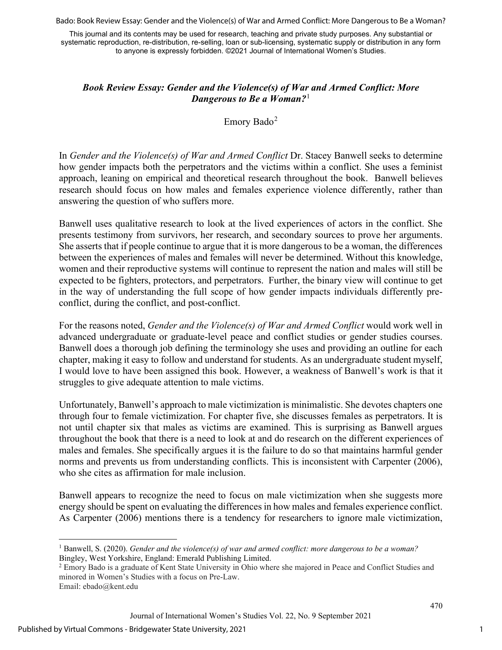Bado: Book Review Essay: Gender and the Violence(s) of War and Armed Conflict: More Dangerous to Be a Woman?

This journal and its contents may be used for research, teaching and private study purposes. Any substantial or systematic reproduction, re-distribution, re-selling, loan or sub-licensing, systematic supply or distribution in any form to anyone is expressly forbidden. ©2021 Journal of International Women's Studies.

### *Book Review Essay: Gender and the Violence(s) of War and Armed Conflict: More Dangerous to Be a Woman?*[1](#page-1-0)

Emory Bado $^2$  $^2$ 

In *Gender and the Violence(s) of War and Armed Conflict* Dr. Stacey Banwell seeks to determine how gender impacts both the perpetrators and the victims within a conflict. She uses a feminist approach, leaning on empirical and theoretical research throughout the book. Banwell believes research should focus on how males and females experience violence differently, rather than answering the question of who suffers more.

Banwell uses qualitative research to look at the lived experiences of actors in the conflict. She presents testimony from survivors, her research, and secondary sources to prove her arguments. She asserts that if people continue to argue that it is more dangerous to be a woman, the differences between the experiences of males and females will never be determined. Without this knowledge, women and their reproductive systems will continue to represent the nation and males will still be expected to be fighters, protectors, and perpetrators. Further, the binary view will continue to get in the way of understanding the full scope of how gender impacts individuals differently preconflict, during the conflict, and post-conflict.

For the reasons noted, *Gender and the Violence(s) of War and Armed Conflict* would work well in advanced undergraduate or graduate-level peace and conflict studies or gender studies courses. Banwell does a thorough job defining the terminology she uses and providing an outline for each chapter, making it easy to follow and understand for students. As an undergraduate student myself, I would love to have been assigned this book. However, a weakness of Banwell's work is that it struggles to give adequate attention to male victims.

Unfortunately, Banwell's approach to male victimization is minimalistic. She devotes chapters one through four to female victimization. For chapter five, she discusses females as perpetrators. It is not until chapter six that males as victims are examined. This is surprising as Banwell argues throughout the book that there is a need to look at and do research on the different experiences of males and females. She specifically argues it is the failure to do so that maintains harmful gender norms and prevents us from understanding conflicts. This is inconsistent with Carpenter (2006), who she cites as affirmation for male inclusion.

Banwell appears to recognize the need to focus on male victimization when she suggests more energy should be spent on evaluating the differences in how males and females experience conflict. As Carpenter (2006) mentions there is a tendency for researchers to ignore male victimization,

<span id="page-1-0"></span><sup>1</sup> Banwell, S. (2020). *Gender and the violence(s) of war and armed conflict: more dangerous to be a woman?* Bingley, West Yorkshire, England: Emerald Publishing Limited.

<span id="page-1-1"></span><sup>&</sup>lt;sup>2</sup> Emory Bado is a graduate of Kent State University in Ohio where she majored in Peace and Conflict Studies and minored in Women's Studies with a focus on Pre-Law.

Email: ebado@kent.edu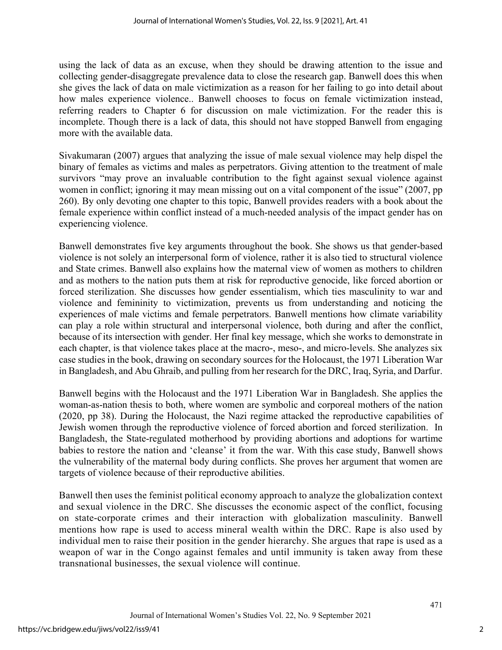using the lack of data as an excuse, when they should be drawing attention to the issue and collecting gender-disaggregate prevalence data to close the research gap. Banwell does this when she gives the lack of data on male victimization as a reason for her failing to go into detail about how males experience violence.. Banwell chooses to focus on female victimization instead, referring readers to Chapter 6 for discussion on male victimization. For the reader this is incomplete. Though there is a lack of data, this should not have stopped Banwell from engaging more with the available data.

Sivakumaran (2007) argues that analyzing the issue of male sexual violence may help dispel the binary of females as victims and males as perpetrators. Giving attention to the treatment of male survivors "may prove an invaluable contribution to the fight against sexual violence against women in conflict; ignoring it may mean missing out on a vital component of the issue" (2007, pp 260). By only devoting one chapter to this topic, Banwell provides readers with a book about the female experience within conflict instead of a much-needed analysis of the impact gender has on experiencing violence.

Banwell demonstrates five key arguments throughout the book. She shows us that gender-based violence is not solely an interpersonal form of violence, rather it is also tied to structural violence and State crimes. Banwell also explains how the maternal view of women as mothers to children and as mothers to the nation puts them at risk for reproductive genocide, like forced abortion or forced sterilization. She discusses how gender essentialism, which ties masculinity to war and violence and femininity to victimization, prevents us from understanding and noticing the experiences of male victims and female perpetrators. Banwell mentions how climate variability can play a role within structural and interpersonal violence, both during and after the conflict, because of its intersection with gender. Her final key message, which she works to demonstrate in each chapter, is that violence takes place at the macro-, meso-, and micro-levels. She analyzes six case studies in the book, drawing on secondary sources for the Holocaust, the 1971 Liberation War in Bangladesh, and Abu Ghraib, and pulling from her research for the DRC, Iraq, Syria, and Darfur.

Banwell begins with the Holocaust and the 1971 Liberation War in Bangladesh. She applies the woman-as-nation thesis to both, where women are symbolic and corporeal mothers of the nation (2020, pp 38). During the Holocaust, the Nazi regime attacked the reproductive capabilities of Jewish women through the reproductive violence of forced abortion and forced sterilization. In Bangladesh, the State-regulated motherhood by providing abortions and adoptions for wartime babies to restore the nation and 'cleanse' it from the war. With this case study, Banwell shows the vulnerability of the maternal body during conflicts. She proves her argument that women are targets of violence because of their reproductive abilities.

Banwell then uses the feminist political economy approach to analyze the globalization context and sexual violence in the DRC. She discusses the economic aspect of the conflict, focusing on state-corporate crimes and their interaction with globalization masculinity. Banwell mentions how rape is used to access mineral wealth within the DRC. Rape is also used by individual men to raise their position in the gender hierarchy. She argues that rape is used as a weapon of war in the Congo against females and until immunity is taken away from these transnational businesses, the sexual violence will continue.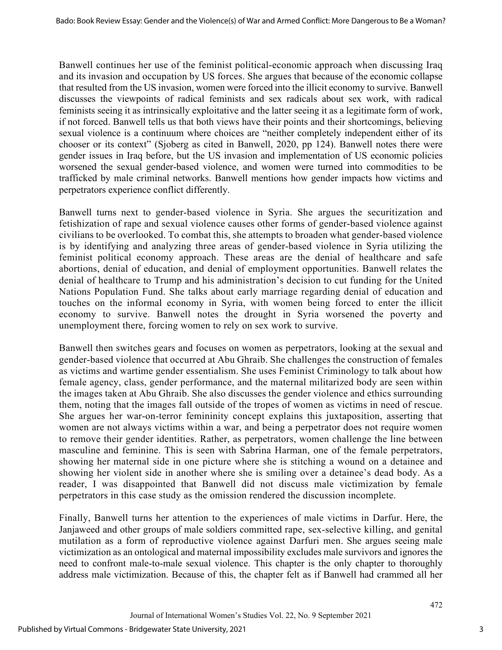Banwell continues her use of the feminist political-economic approach when discussing Iraq and its invasion and occupation by US forces. She argues that because of the economic collapse that resulted from the US invasion, women were forced into the illicit economy to survive. Banwell discusses the viewpoints of radical feminists and sex radicals about sex work, with radical feminists seeing it as intrinsically exploitative and the latter seeing it as a legitimate form of work, if not forced. Banwell tells us that both views have their points and their shortcomings, believing sexual violence is a continuum where choices are "neither completely independent either of its chooser or its context" (Sjoberg as cited in Banwell, 2020, pp 124). Banwell notes there were gender issues in Iraq before, but the US invasion and implementation of US economic policies worsened the sexual gender-based violence, and women were turned into commodities to be trafficked by male criminal networks. Banwell mentions how gender impacts how victims and perpetrators experience conflict differently.

Banwell turns next to gender-based violence in Syria. She argues the securitization and fetishization of rape and sexual violence causes other forms of gender-based violence against civilians to be overlooked. To combat this, she attempts to broaden what gender-based violence is by identifying and analyzing three areas of gender-based violence in Syria utilizing the feminist political economy approach. These areas are the denial of healthcare and safe abortions, denial of education, and denial of employment opportunities. Banwell relates the denial of healthcare to Trump and his administration's decision to cut funding for the United Nations Population Fund. She talks about early marriage regarding denial of education and touches on the informal economy in Syria, with women being forced to enter the illicit economy to survive. Banwell notes the drought in Syria worsened the poverty and unemployment there, forcing women to rely on sex work to survive.

Banwell then switches gears and focuses on women as perpetrators, looking at the sexual and gender-based violence that occurred at Abu Ghraib. She challenges the construction of females as victims and wartime gender essentialism. She uses Feminist Criminology to talk about how female agency, class, gender performance, and the maternal militarized body are seen within the images taken at Abu Ghraib. She also discusses the gender violence and ethics surrounding them, noting that the images fall outside of the tropes of women as victims in need of rescue. She argues her war-on-terror femininity concept explains this juxtaposition, asserting that women are not always victims within a war, and being a perpetrator does not require women to remove their gender identities. Rather, as perpetrators, women challenge the line between masculine and feminine. This is seen with Sabrina Harman, one of the female perpetrators, showing her maternal side in one picture where she is stitching a wound on a detainee and showing her violent side in another where she is smiling over a detainee's dead body. As a reader, I was disappointed that Banwell did not discuss male victimization by female perpetrators in this case study as the omission rendered the discussion incomplete.

Finally, Banwell turns her attention to the experiences of male victims in Darfur. Here, the Janjaweed and other groups of male soldiers committed rape, sex-selective killing, and genital mutilation as a form of reproductive violence against Darfuri men. She argues seeing male victimization as an ontological and maternal impossibility excludes male survivors and ignores the need to confront male-to-male sexual violence. This chapter is the only chapter to thoroughly address male victimization. Because of this, the chapter felt as if Banwell had crammed all her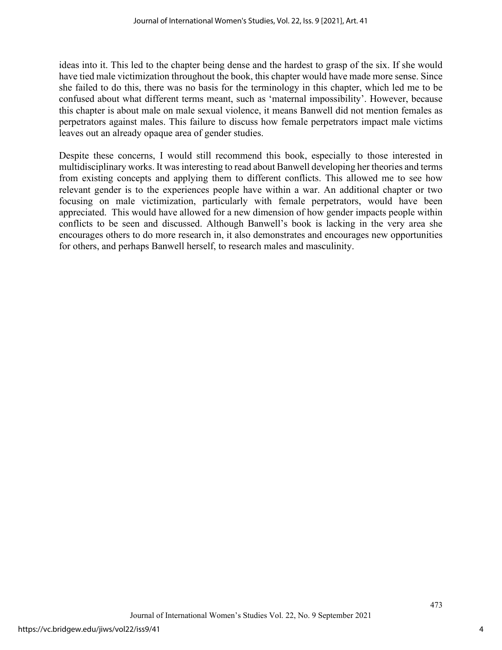ideas into it. This led to the chapter being dense and the hardest to grasp of the six. If she would have tied male victimization throughout the book, this chapter would have made more sense. Since she failed to do this, there was no basis for the terminology in this chapter, which led me to be confused about what different terms meant, such as 'maternal impossibility'. However, because this chapter is about male on male sexual violence, it means Banwell did not mention females as perpetrators against males. This failure to discuss how female perpetrators impact male victims leaves out an already opaque area of gender studies.

Despite these concerns, I would still recommend this book, especially to those interested in multidisciplinary works. It was interesting to read about Banwell developing her theories and terms from existing concepts and applying them to different conflicts. This allowed me to see how relevant gender is to the experiences people have within a war. An additional chapter or two focusing on male victimization, particularly with female perpetrators, would have been appreciated. This would have allowed for a new dimension of how gender impacts people within conflicts to be seen and discussed. Although Banwell's book is lacking in the very area she encourages others to do more research in, it also demonstrates and encourages new opportunities for others, and perhaps Banwell herself, to research males and masculinity.